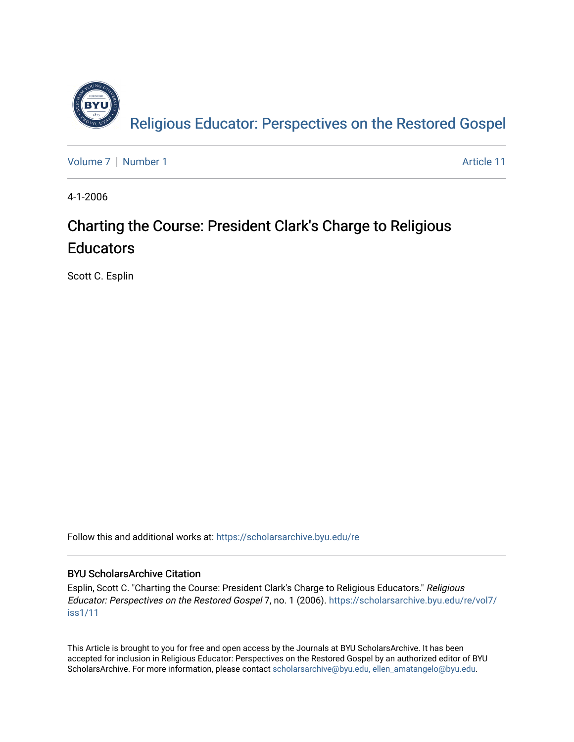

[Volume 7](https://scholarsarchive.byu.edu/re/vol7) | [Number 1](https://scholarsarchive.byu.edu/re/vol7/iss1) Article 11

4-1-2006

# Charting the Course: President Clark's Charge to Religious **Educators**

Scott C. Esplin

Follow this and additional works at: [https://scholarsarchive.byu.edu/re](https://scholarsarchive.byu.edu/re?utm_source=scholarsarchive.byu.edu%2Fre%2Fvol7%2Fiss1%2F11&utm_medium=PDF&utm_campaign=PDFCoverPages)

# BYU ScholarsArchive Citation

Esplin, Scott C. "Charting the Course: President Clark's Charge to Religious Educators." Religious Educator: Perspectives on the Restored Gospel 7, no. 1 (2006). [https://scholarsarchive.byu.edu/re/vol7/](https://scholarsarchive.byu.edu/re/vol7/iss1/11?utm_source=scholarsarchive.byu.edu%2Fre%2Fvol7%2Fiss1%2F11&utm_medium=PDF&utm_campaign=PDFCoverPages) [iss1/11](https://scholarsarchive.byu.edu/re/vol7/iss1/11?utm_source=scholarsarchive.byu.edu%2Fre%2Fvol7%2Fiss1%2F11&utm_medium=PDF&utm_campaign=PDFCoverPages) 

This Article is brought to you for free and open access by the Journals at BYU ScholarsArchive. It has been accepted for inclusion in Religious Educator: Perspectives on the Restored Gospel by an authorized editor of BYU ScholarsArchive. For more information, please contact [scholarsarchive@byu.edu, ellen\\_amatangelo@byu.edu.](mailto:scholarsarchive@byu.edu,%20ellen_amatangelo@byu.edu)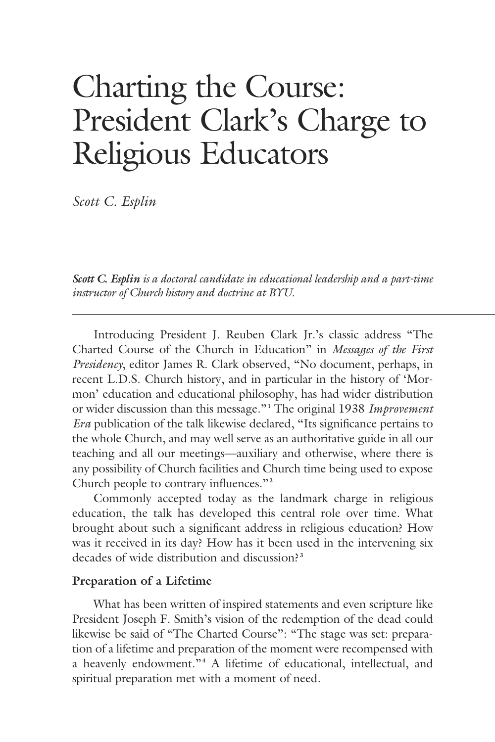# Charting the Course: President Clark's Charge to Religious Educators

*Scott C. Esplin*

*Scott C. Esplin is a doctoral candidate in educational leadership and a part-time instructor of Church history and doctrine at BYU.*

 Introducing President J. Reuben Clark Jr.'s classic address "The Charted Course of the Church in Education" in *Messages of the First Presidency*, editor James R. Clark observed, "No document, perhaps, in recent L.D.S. Church history, and in particular in the history of 'Mormon' education and educational philosophy, has had wider distribution or wider discussion than this message."**<sup>1</sup>** The original 1938 *Improvement Era* publication of the talk likewise declared, "Its significance pertains to the whole Church, and may well serve as an authoritative guide in all our teaching and all our meetings—auxiliary and otherwise, where there is any possibility of Church facilities and Church time being used to expose Church people to contrary influences."**<sup>2</sup>**

 Commonly accepted today as the landmark charge in religious education, the talk has developed this central role over time. What brought about such a significant address in religious education? How was it received in its day? How has it been used in the intervening six decades of wide distribution and discussion?**<sup>3</sup>**

#### **Preparation of a Lifetime**

 What has been written of inspired statements and even scripture like President Joseph F. Smith's vision of the redemption of the dead could likewise be said of "The Charted Course": "The stage was set: preparation of a lifetime and preparation of the moment were recompensed with a heavenly endowment."**<sup>4</sup>** A lifetime of educational, intellectual, and spiritual preparation met with a moment of need.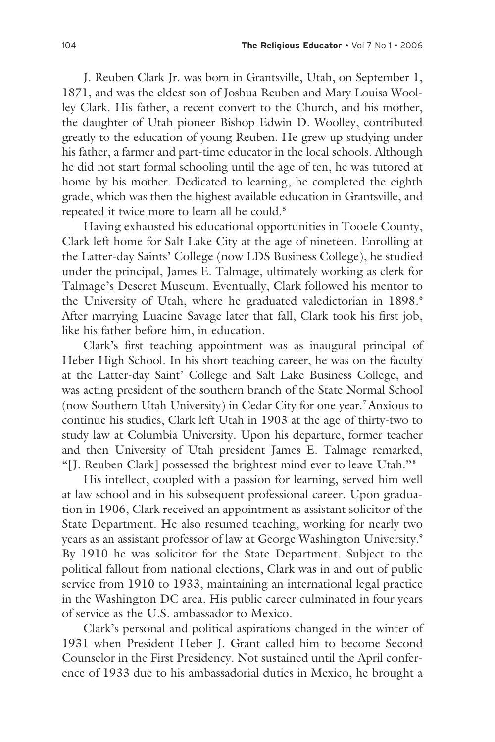J. Reuben Clark Jr. was born in Grantsville, Utah, on September 1, 1871, and was the eldest son of Joshua Reuben and Mary Louisa Woolley Clark. His father, a recent convert to the Church, and his mother, the daughter of Utah pioneer Bishop Edwin D. Woolley, contributed greatly to the education of young Reuben. He grew up studying under his father, a farmer and part-time educator in the local schools. Although he did not start formal schooling until the age of ten, he was tutored at home by his mother. Dedicated to learning, he completed the eighth grade, which was then the highest available education in Grantsville, and repeated it twice more to learn all he could.**<sup>5</sup>**

 Having exhausted his educational opportunities in Tooele County, Clark left home for Salt Lake City at the age of nineteen. Enrolling at the Latter-day Saints' College (now LDS Business College), he studied under the principal, James E. Talmage, ultimately working as clerk for Talmage's Deseret Museum. Eventually, Clark followed his mentor to the University of Utah, where he graduated valedictorian in 1898.**<sup>6</sup>** After marrying Luacine Savage later that fall, Clark took his first job, like his father before him, in education.

 Clark's first teaching appointment was as inaugural principal of Heber High School. In his short teaching career, he was on the faculty at the Latter-day Saint' College and Salt Lake Business College, and was acting president of the southern branch of the State Normal School (now Southern Utah University) in Cedar City for one year.**7** Anxious to continue his studies, Clark left Utah in 1903 at the age of thirty-two to study law at Columbia University. Upon his departure, former teacher and then University of Utah president James E. Talmage remarked, "[J. Reuben Clark] possessed the brightest mind ever to leave Utah."**<sup>8</sup>**

 His intellect, coupled with a passion for learning, served him well at law school and in his subsequent professional career. Upon graduation in 1906, Clark received an appointment as assistant solicitor of the State Department. He also resumed teaching, working for nearly two years as an assistant professor of law at George Washington University.**<sup>9</sup>** By 1910 he was solicitor for the State Department. Subject to the political fallout from national elections, Clark was in and out of public service from 1910 to 1933, maintaining an international legal practice in the Washington DC area. His public career culminated in four years of service as the U.S. ambassador to Mexico.

 Clark's personal and political aspirations changed in the winter of 1931 when President Heber J. Grant called him to become Second Counselor in the First Presidency. Not sustained until the April conference of 1933 due to his ambassadorial duties in Mexico, he brought a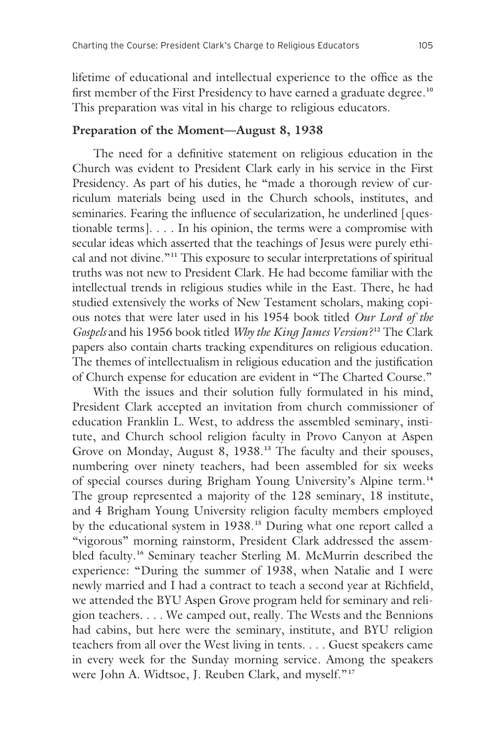lifetime of educational and intellectual experience to the office as the first member of the First Presidency to have earned a graduate degree.**<sup>10</sup>** This preparation was vital in his charge to religious educators.

# **Preparation of the Moment—August 8, 1938**

 The need for a definitive statement on religious education in the Church was evident to President Clark early in his service in the First Presidency. As part of his duties, he "made a thorough review of curriculum materials being used in the Church schools, institutes, and seminaries. Fearing the influence of secularization, he underlined [questionable terms]. . . . In his opinion, the terms were a compromise with secular ideas which asserted that the teachings of Jesus were purely ethical and not divine."**11** This exposure to secular interpretations of spiritual truths was not new to President Clark. He had become familiar with the intellectual trends in religious studies while in the East. There, he had studied extensively the works of New Testament scholars, making copious notes that were later used in his 1954 book titled *Our Lord of the Gospels* and his 1956 book titled *Why the King James Version*?<sup>12</sup> The Clark papers also contain charts tracking expenditures on religious education. The themes of intellectualism in religious education and the justification of Church expense for education are evident in "The Charted Course."

 With the issues and their solution fully formulated in his mind, President Clark accepted an invitation from church commissioner of education Franklin L. West, to address the assembled seminary, institute, and Church school religion faculty in Provo Canyon at Aspen Grove on Monday, August 8, 1938.**13** The faculty and their spouses, numbering over ninety teachers, had been assembled for six weeks of special courses during Brigham Young University's Alpine term.**<sup>14</sup>** The group represented a majority of the 128 seminary, 18 institute, and 4 Brigham Young University religion faculty members employed by the educational system in 1938.**15** During what one report called a "vigorous" morning rainstorm, President Clark addressed the assembled faculty.**16** Seminary teacher Sterling M. McMurrin described the experience: "During the summer of 1938, when Natalie and I were newly married and I had a contract to teach a second year at Richfield, we attended the BYU Aspen Grove program held for seminary and religion teachers. . . . We camped out, really. The Wests and the Bennions had cabins, but here were the seminary, institute, and BYU religion teachers from all over the West living in tents. . . . Guest speakers came in every week for the Sunday morning service. Among the speakers were John A. Widtsoe, J. Reuben Clark, and myself."**<sup>17</sup>**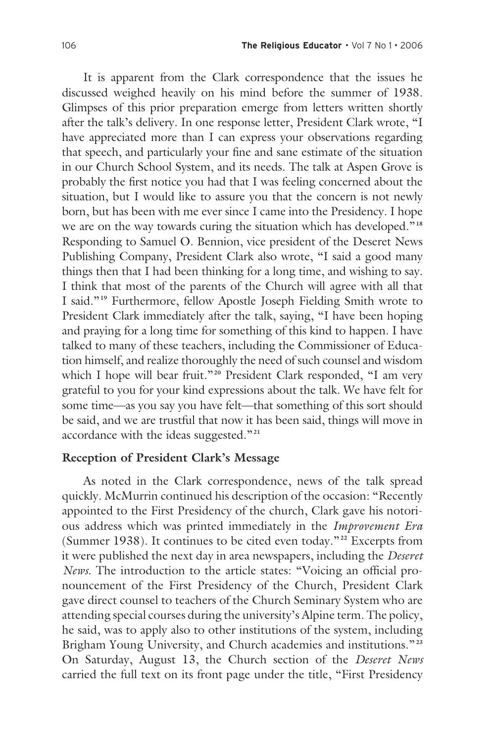It is apparent from the Clark correspondence that the issues he discussed weighed heavily on his mind before the summer of 1938. Glimpses of this prior preparation emerge from letters written shortly after the talk's delivery. In one response letter, President Clark wrote, "I have appreciated more than I can express your observations regarding that speech, and particularly your fine and sane estimate of the situation in our Church School System, and its needs. The talk at Aspen Grove is probably the first notice you had that I was feeling concerned about the situation, but I would like to assure you that the concern is not newly born, but has been with me ever since I came into the Presidency. I hope we are on the way towards curing the situation which has developed."**<sup>18</sup>** Responding to Samuel O. Bennion, vice president of the Deseret News Publishing Company, President Clark also wrote, "I said a good many things then that I had been thinking for a long time, and wishing to say. I think that most of the parents of the Church will agree with all that I said."**19** Furthermore, fellow Apostle Joseph Fielding Smith wrote to President Clark immediately after the talk, saying, "I have been hoping and praying for a long time for something of this kind to happen. I have talked to many of these teachers, including the Commissioner of Education himself, and realize thoroughly the need of such counsel and wisdom which I hope will bear fruit."**20** President Clark responded, "I am very grateful to you for your kind expressions about the talk. We have felt for some time—as you say you have felt—that something of this sort should be said, and we are trustful that now it has been said, things will move in accordance with the ideas suggested."**<sup>21</sup>**

#### **Reception of President Clark's Message**

 As noted in the Clark correspondence, news of the talk spread quickly. McMurrin continued his description of the occasion: "Recently appointed to the First Presidency of the church, Clark gave his notorious address which was printed immediately in the *Improvement Era* (Summer 1938). It continues to be cited even today."**22** Excerpts from it were published the next day in area newspapers, including the *Deseret News*. The introduction to the article states: "Voicing an official pronouncement of the First Presidency of the Church, President Clark gave direct counsel to teachers of the Church Seminary System who are attending special courses during the university's Alpine term. The policy, he said, was to apply also to other institutions of the system, including Brigham Young University, and Church academies and institutions."**<sup>23</sup>** On Saturday, August 13, the Church section of the *Deseret News* carried the full text on its front page under the title, "First Presidency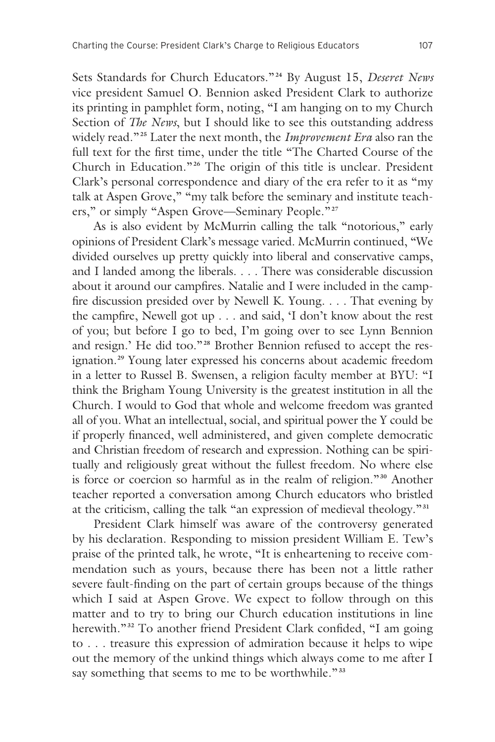Sets Standards for Church Educators." **<sup>24</sup>** By August 15, *Deseret News* vice president Samuel O. Bennion asked President Clark to authorize its printing in pamphlet form, noting, "I am hanging on to my Church Section of *The News*, but I should like to see this outstanding address widely read."**25** Later the next month, the *Improvement Era* also ran the full text for the first time, under the title "The Charted Course of the Church in Education."**26** The origin of this title is unclear. President Clark's personal correspondence and diary of the era refer to it as "my talk at Aspen Grove," "my talk before the seminary and institute teachers," or simply "Aspen Grove—Seminary People."**<sup>27</sup>**

 As is also evident by McMurrin calling the talk "notorious," early opinions of President Clark's message varied. McMurrin continued, "We divided ourselves up pretty quickly into liberal and conservative camps, and I landed among the liberals. . . . There was considerable discussion about it around our campfires. Natalie and I were included in the campfire discussion presided over by Newell K. Young. . . . That evening by the campfire, Newell got up . . . and said, 'I don't know about the rest of you; but before I go to bed, I'm going over to see Lynn Bennion and resign.' He did too."**28** Brother Bennion refused to accept the resignation.**29** Young later expressed his concerns about academic freedom in a letter to Russel B. Swensen, a religion faculty member at BYU: "I think the Brigham Young University is the greatest institution in all the Church. I would to God that whole and welcome freedom was granted all of you. What an intellectual, social, and spiritual power the Y could be if properly financed, well administered, and given complete democratic and Christian freedom of research and expression. Nothing can be spiritually and religiously great without the fullest freedom. No where else is force or coercion so harmful as in the realm of religion."**30** Another teacher reported a conversation among Church educators who bristled at the criticism, calling the talk "an expression of medieval theology."**<sup>31</sup>**

 President Clark himself was aware of the controversy generated by his declaration. Responding to mission president William E. Tew's praise of the printed talk, he wrote, "It is enheartening to receive commendation such as yours, because there has been not a little rather severe fault-finding on the part of certain groups because of the things which I said at Aspen Grove. We expect to follow through on this matter and to try to bring our Church education institutions in line herewith."**32** To another friend President Clark confided, "I am going to . . . treasure this expression of admiration because it helps to wipe out the memory of the unkind things which always come to me after I say something that seems to me to be worthwhile."**<sup>33</sup>**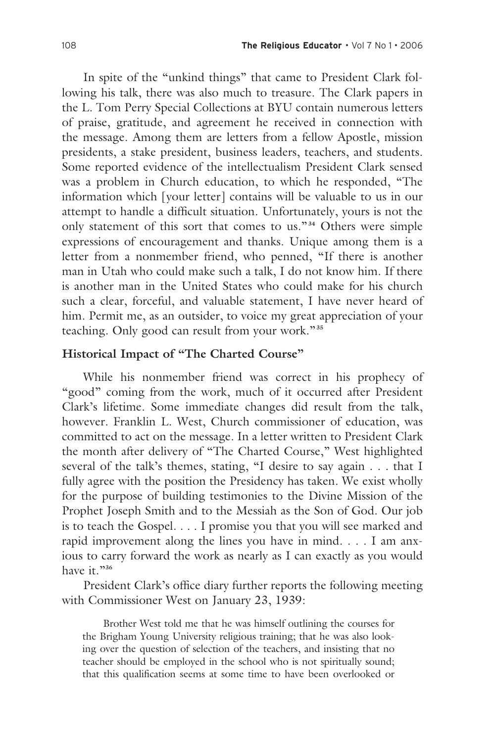In spite of the "unkind things" that came to President Clark following his talk, there was also much to treasure. The Clark papers in the L. Tom Perry Special Collections at BYU contain numerous letters of praise, gratitude, and agreement he received in connection with the message. Among them are letters from a fellow Apostle, mission presidents, a stake president, business leaders, teachers, and students. Some reported evidence of the intellectualism President Clark sensed was a problem in Church education, to which he responded, "The information which [your letter] contains will be valuable to us in our attempt to handle a difficult situation. Unfortunately, yours is not the only statement of this sort that comes to us." **<sup>34</sup>** Others were simple expressions of encouragement and thanks. Unique among them is a letter from a nonmember friend, who penned, "If there is another man in Utah who could make such a talk, I do not know him. If there is another man in the United States who could make for his church such a clear, forceful, and valuable statement, I have never heard of him. Permit me, as an outsider, to voice my great appreciation of your teaching. Only good can result from your work."**<sup>35</sup>**

# **Historical Impact of "The Charted Course"**

 While his nonmember friend was correct in his prophecy of "good" coming from the work, much of it occurred after President Clark's lifetime. Some immediate changes did result from the talk, however. Franklin L. West, Church commissioner of education, was committed to act on the message. In a letter written to President Clark the month after delivery of "The Charted Course," West highlighted several of the talk's themes, stating, "I desire to say again . . . that I fully agree with the position the Presidency has taken. We exist wholly for the purpose of building testimonies to the Divine Mission of the Prophet Joseph Smith and to the Messiah as the Son of God. Our job is to teach the Gospel. . . . I promise you that you will see marked and rapid improvement along the lines you have in mind. . . . I am anxious to carry forward the work as nearly as I can exactly as you would have it."<sup>36</sup>

 President Clark's office diary further reports the following meeting with Commissioner West on January 23, 1939:

 Brother West told me that he was himself outlining the courses for the Brigham Young University religious training; that he was also looking over the question of selection of the teachers, and insisting that no teacher should be employed in the school who is not spiritually sound; that this qualification seems at some time to have been overlooked or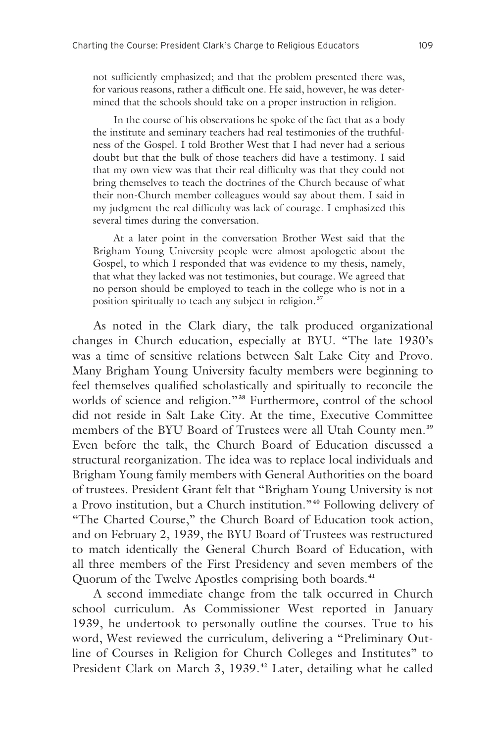not sufficiently emphasized; and that the problem presented there was, for various reasons, rather a difficult one. He said, however, he was determined that the schools should take on a proper instruction in religion.

 In the course of his observations he spoke of the fact that as a body the institute and seminary teachers had real testimonies of the truthfulness of the Gospel. I told Brother West that I had never had a serious doubt but that the bulk of those teachers did have a testimony. I said that my own view was that their real difficulty was that they could not bring themselves to teach the doctrines of the Church because of what their non-Church member colleagues would say about them. I said in my judgment the real difficulty was lack of courage. I emphasized this several times during the conversation.

 At a later point in the conversation Brother West said that the Brigham Young University people were almost apologetic about the Gospel, to which I responded that was evidence to my thesis, namely, that what they lacked was not testimonies, but courage. We agreed that no person should be employed to teach in the college who is not in a position spiritually to teach any subject in religion.**<sup>37</sup>**

 As noted in the Clark diary, the talk produced organizational changes in Church education, especially at BYU. "The late 1930's was a time of sensitive relations between Salt Lake City and Provo. Many Brigham Young University faculty members were beginning to feel themselves qualified scholastically and spiritually to reconcile the worlds of science and religion."**38** Furthermore, control of the school did not reside in Salt Lake City. At the time, Executive Committee members of the BYU Board of Trustees were all Utah County men.**<sup>39</sup>** Even before the talk, the Church Board of Education discussed a structural reorganization. The idea was to replace local individuals and Brigham Young family members with General Authorities on the board of trustees. President Grant felt that "Brigham Young University is not a Provo institution, but a Church institution." **<sup>40</sup>** Following delivery of "The Charted Course," the Church Board of Education took action, and on February 2, 1939, the BYU Board of Trustees was restructured to match identically the General Church Board of Education, with all three members of the First Presidency and seven members of the Quorum of the Twelve Apostles comprising both boards.**<sup>41</sup>**

 A second immediate change from the talk occurred in Church school curriculum. As Commissioner West reported in January 1939, he undertook to personally outline the courses. True to his word, West reviewed the curriculum, delivering a "Preliminary Outline of Courses in Religion for Church Colleges and Institutes" to President Clark on March 3, 1939.**42** Later, detailing what he called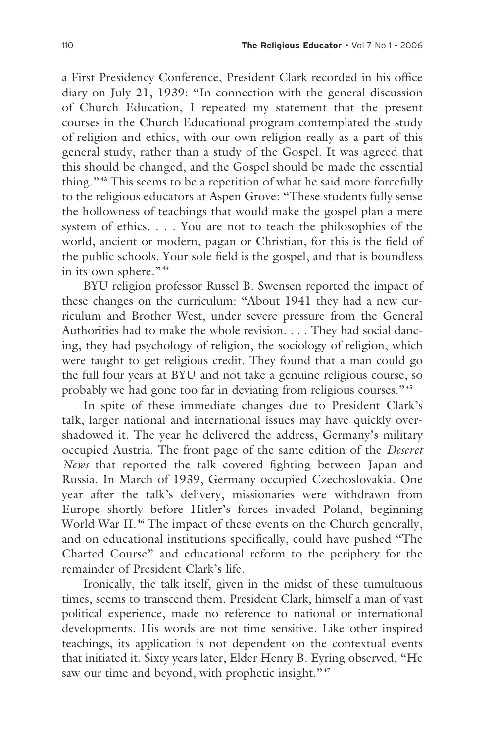a First Presidency Conference, President Clark recorded in his office diary on July 21, 1939: "In connection with the general discussion of Church Education, I repeated my statement that the present courses in the Church Educational program contemplated the study of religion and ethics, with our own religion really as a part of this general study, rather than a study of the Gospel. It was agreed that this should be changed, and the Gospel should be made the essential thing." **<sup>43</sup>** This seems to be a repetition of what he said more forcefully to the religious educators at Aspen Grove: "These students fully sense the hollowness of teachings that would make the gospel plan a mere system of ethics. . . . You are not to teach the philosophies of the world, ancient or modern, pagan or Christian, for this is the field of the public schools. Your sole field is the gospel, and that is boundless in its own sphere." **<sup>44</sup>**

 BYU religion professor Russel B. Swensen reported the impact of these changes on the curriculum: "About 1941 they had a new curriculum and Brother West, under severe pressure from the General Authorities had to make the whole revision. . . . They had social dancing, they had psychology of religion, the sociology of religion, which were taught to get religious credit. They found that a man could go the full four years at BYU and not take a genuine religious course, so probably we had gone too far in deviating from religious courses."**<sup>45</sup>**

 In spite of these immediate changes due to President Clark's talk, larger national and international issues may have quickly overshadowed it. The year he delivered the address, Germany's military occupied Austria. The front page of the same edition of the *Deseret News* that reported the talk covered fighting between Japan and Russia. In March of 1939, Germany occupied Czechoslovakia. One year after the talk's delivery, missionaries were withdrawn from Europe shortly before Hitler's forces invaded Poland, beginning World War II.<sup>46</sup> The impact of these events on the Church generally, and on educational institutions specifically, could have pushed "The Charted Course" and educational reform to the periphery for the remainder of President Clark's life.

 Ironically, the talk itself, given in the midst of these tumultuous times, seems to transcend them. President Clark, himself a man of vast political experience, made no reference to national or international developments. His words are not time sensitive. Like other inspired teachings, its application is not dependent on the contextual events that initiated it. Sixty years later, Elder Henry B. Eyring observed, "He saw our time and beyond, with prophetic insight."<sup>47</sup>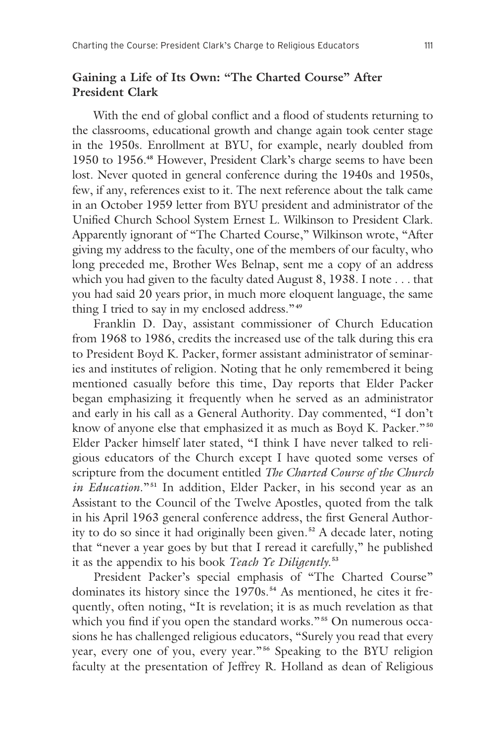### **Gaining a Life of Its Own: "The Charted Course" After President Clark**

 With the end of global conflict and a flood of students returning to the classrooms, educational growth and change again took center stage in the 1950s. Enrollment at BYU, for example, nearly doubled from 1950 to 1956.**48** However, President Clark's charge seems to have been lost. Never quoted in general conference during the 1940s and 1950s, few, if any, references exist to it. The next reference about the talk came in an October 1959 letter from BYU president and administrator of the Unified Church School System Ernest L. Wilkinson to President Clark. Apparently ignorant of "The Charted Course," Wilkinson wrote, "After giving my address to the faculty, one of the members of our faculty, who long preceded me, Brother Wes Belnap, sent me a copy of an address which you had given to the faculty dated August 8, 1938. I note . . . that you had said 20 years prior, in much more eloquent language, the same thing I tried to say in my enclosed address."**<sup>49</sup>**

 Franklin D. Day, assistant commissioner of Church Education from 1968 to 1986, credits the increased use of the talk during this era to President Boyd K. Packer, former assistant administrator of seminaries and institutes of religion. Noting that he only remembered it being mentioned casually before this time, Day reports that Elder Packer began emphasizing it frequently when he served as an administrator and early in his call as a General Authority. Day commented, "I don't know of anyone else that emphasized it as much as Boyd K. Packer." **<sup>50</sup>** Elder Packer himself later stated, "I think I have never talked to religious educators of the Church except I have quoted some verses of scripture from the document entitled *The Charted Course of the Church in Education*."**51** In addition, Elder Packer, in his second year as an Assistant to the Council of the Twelve Apostles, quoted from the talk in his April 1963 general conference address, the first General Authority to do so since it had originally been given.**52** A decade later, noting that "never a year goes by but that I reread it carefully," he published it as the appendix to his book *Teach Ye Diligently*. **53**

 President Packer's special emphasis of "The Charted Course" dominates its history since the 1970s.**54** As mentioned, he cites it frequently, often noting, "It is revelation; it is as much revelation as that which you find if you open the standard works." **<sup>55</sup>** On numerous occasions he has challenged religious educators, "Surely you read that every year, every one of you, every year."**56** Speaking to the BYU religion faculty at the presentation of Jeffrey R. Holland as dean of Religious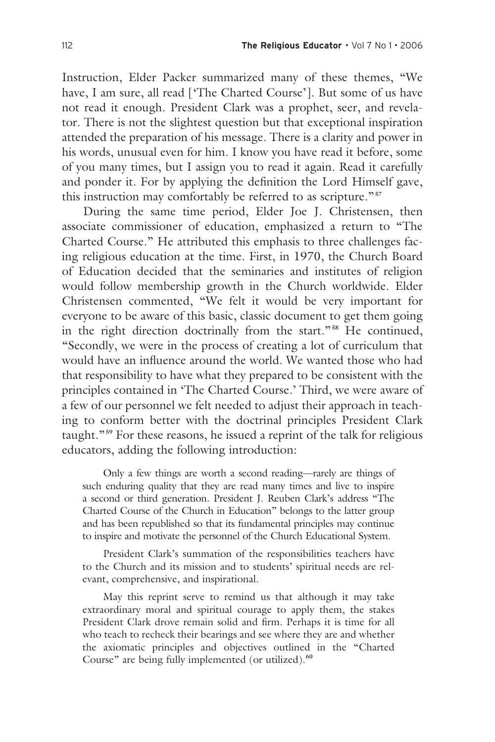Instruction, Elder Packer summarized many of these themes, "We have, I am sure, all read ['The Charted Course']. But some of us have not read it enough. President Clark was a prophet, seer, and revelator. There is not the slightest question but that exceptional inspiration attended the preparation of his message. There is a clarity and power in his words, unusual even for him. I know you have read it before, some of you many times, but I assign you to read it again. Read it carefully and ponder it. For by applying the definition the Lord Himself gave, this instruction may comfortably be referred to as scripture."**<sup>57</sup>**

 During the same time period, Elder Joe J. Christensen, then associate commissioner of education, emphasized a return to "The Charted Course." He attributed this emphasis to three challenges facing religious education at the time. First, in 1970, the Church Board of Education decided that the seminaries and institutes of religion would follow membership growth in the Church worldwide. Elder Christensen commented, "We felt it would be very important for everyone to be aware of this basic, classic document to get them going in the right direction doctrinally from the start."**58** He continued, "Secondly, we were in the process of creating a lot of curriculum that would have an influence around the world. We wanted those who had that responsibility to have what they prepared to be consistent with the principles contained in 'The Charted Course.' Third, we were aware of a few of our personnel we felt needed to adjust their approach in teaching to conform better with the doctrinal principles President Clark taught."**59** For these reasons, he issued a reprint of the talk for religious educators, adding the following introduction:

 Only a few things are worth a second reading—rarely are things of such enduring quality that they are read many times and live to inspire a second or third generation. President J. Reuben Clark's address "The Charted Course of the Church in Education" belongs to the latter group and has been republished so that its fundamental principles may continue to inspire and motivate the personnel of the Church Educational System.

 President Clark's summation of the responsibilities teachers have to the Church and its mission and to students' spiritual needs are relevant, comprehensive, and inspirational.

 May this reprint serve to remind us that although it may take extraordinary moral and spiritual courage to apply them, the stakes President Clark drove remain solid and firm. Perhaps it is time for all who teach to recheck their bearings and see where they are and whether the axiomatic principles and objectives outlined in the "Charted Course" are being fully implemented (or utilized).**<sup>60</sup>**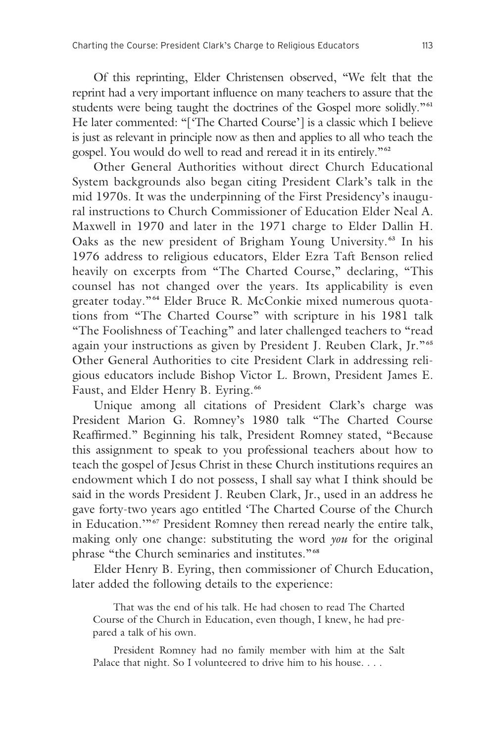Of this reprinting, Elder Christensen observed, "We felt that the reprint had a very important influence on many teachers to assure that the students were being taught the doctrines of the Gospel more solidly."**<sup>61</sup>** He later commented: "['The Charted Course'] is a classic which I believe is just as relevant in principle now as then and applies to all who teach the gospel. You would do well to read and reread it in its entirely."**<sup>62</sup>**

 Other General Authorities without direct Church Educational System backgrounds also began citing President Clark's talk in the mid 1970s. It was the underpinning of the First Presidency's inaugural instructions to Church Commissioner of Education Elder Neal A. Maxwell in 1970 and later in the 1971 charge to Elder Dallin H. Oaks as the new president of Brigham Young University. **<sup>63</sup>** In his 1976 address to religious educators, Elder Ezra Taft Benson relied heavily on excerpts from "The Charted Course," declaring, "This counsel has not changed over the years. Its applicability is even greater today." **<sup>64</sup>** Elder Bruce R. McConkie mixed numerous quotations from "The Charted Course" with scripture in his 1981 talk "The Foolishness of Teaching" and later challenged teachers to "read again your instructions as given by President J. Reuben Clark, Jr." **<sup>65</sup>** Other General Authorities to cite President Clark in addressing religious educators include Bishop Victor L. Brown, President James E. Faust, and Elder Henry B. Eyring.**<sup>66</sup>**

 Unique among all citations of President Clark's charge was President Marion G. Romney's 1980 talk "The Charted Course Reaffirmed." Beginning his talk, President Romney stated, "Because this assignment to speak to you professional teachers about how to teach the gospel of Jesus Christ in these Church institutions requires an endowment which I do not possess, I shall say what I think should be said in the words President J. Reuben Clark, Jr., used in an address he gave forty-two years ago entitled 'The Charted Course of the Church in Education.'"**67** President Romney then reread nearly the entire talk, making only one change: substituting the word *you* for the original phrase "the Church seminaries and institutes."**<sup>68</sup>**

 Elder Henry B. Eyring, then commissioner of Church Education, later added the following details to the experience:

 That was the end of his talk. He had chosen to read The Charted Course of the Church in Education, even though, I knew, he had prepared a talk of his own.

 President Romney had no family member with him at the Salt Palace that night. So I volunteered to drive him to his house. . . .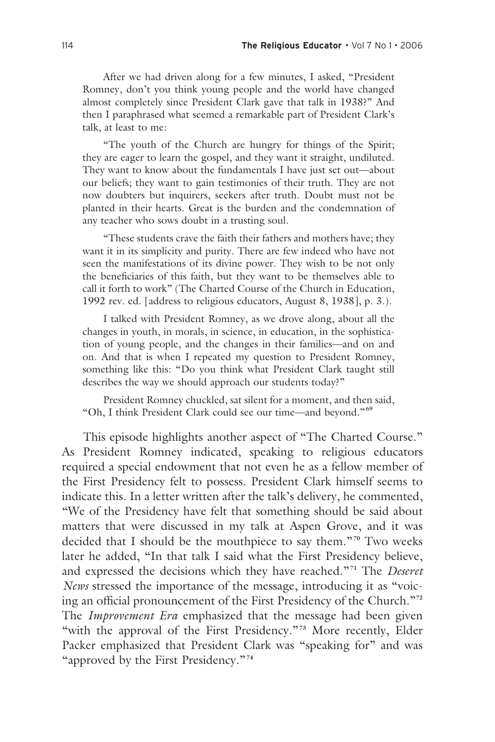After we had driven along for a few minutes, I asked, "President Romney, don't you think young people and the world have changed almost completely since President Clark gave that talk in 1938?" And then I paraphrased what seemed a remarkable part of President Clark's talk, at least to me:

 "The youth of the Church are hungry for things of the Spirit; they are eager to learn the gospel, and they want it straight, undiluted. They want to know about the fundamentals I have just set out—about our beliefs; they want to gain testimonies of their truth. They are not now doubters but inquirers, seekers after truth. Doubt must not be planted in their hearts. Great is the burden and the condemnation of any teacher who sows doubt in a trusting soul.

 "These students crave the faith their fathers and mothers have; they want it in its simplicity and purity. There are few indeed who have not seen the manifestations of its divine power. They wish to be not only the beneficiaries of this faith, but they want to be themselves able to call it forth to work" (The Charted Course of the Church in Education, 1992 rev. ed. [address to religious educators, August 8, 1938], p. 3.).

 I talked with President Romney, as we drove along, about all the changes in youth, in morals, in science, in education, in the sophistication of young people, and the changes in their families—and on and on. And that is when I repeated my question to President Romney, something like this: "Do you think what President Clark taught still describes the way we should approach our students today?"

 President Romney chuckled, sat silent for a moment, and then said, "Oh, I think President Clark could see our time—and beyond."**<sup>69</sup>**

 This episode highlights another aspect of "The Charted Course." As President Romney indicated, speaking to religious educators required a special endowment that not even he as a fellow member of the First Presidency felt to possess. President Clark himself seems to indicate this. In a letter written after the talk's delivery, he commented, "We of the Presidency have felt that something should be said about matters that were discussed in my talk at Aspen Grove, and it was decided that I should be the mouthpiece to say them."**70** Two weeks later he added, "In that talk I said what the First Presidency believe, and expressed the decisions which they have reached."**71** The *Deseret News* stressed the importance of the message, introducing it as "voicing an official pronouncement of the First Presidency of the Church."**<sup>72</sup>** The *Improvement Era* emphasized that the message had been given "with the approval of the First Presidency."<sup>73</sup> More recently, Elder Packer emphasized that President Clark was "speaking for" and was "approved by the First Presidency."**<sup>74</sup>**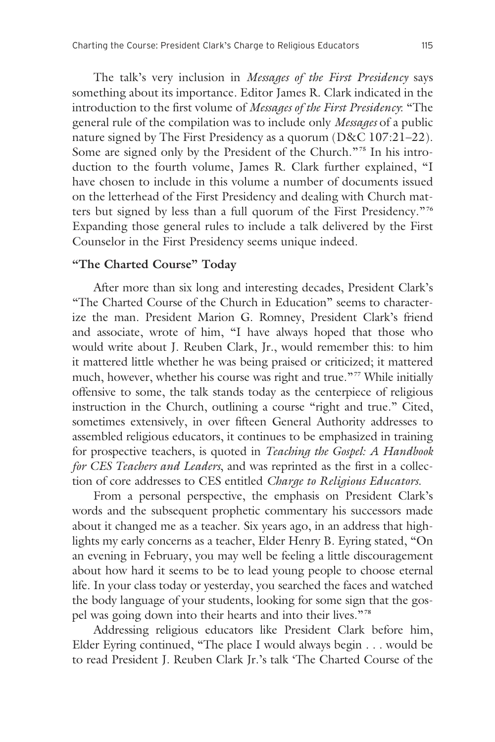The talk's very inclusion in *Messages of the First Presidency* says something about its importance. Editor James R. Clark indicated in the introduction to the first volume of *Messages of the First Presidency*: "The general rule of the compilation was to include only *Messages* of a public nature signed by The First Presidency as a quorum (D&C 107:21–22). Some are signed only by the President of the Church."**75** In his introduction to the fourth volume, James R. Clark further explained, "I have chosen to include in this volume a number of documents issued on the letterhead of the First Presidency and dealing with Church matters but signed by less than a full quorum of the First Presidency."**<sup>76</sup>** Expanding those general rules to include a talk delivered by the First Counselor in the First Presidency seems unique indeed.

#### **"The Charted Course" Today**

 After more than six long and interesting decades, President Clark's "The Charted Course of the Church in Education" seems to characterize the man. President Marion G. Romney, President Clark's friend and associate, wrote of him, "I have always hoped that those who would write about J. Reuben Clark, Jr., would remember this: to him it mattered little whether he was being praised or criticized; it mattered much, however, whether his course was right and true."**77** While initially offensive to some, the talk stands today as the centerpiece of religious instruction in the Church, outlining a course "right and true." Cited, sometimes extensively, in over fifteen General Authority addresses to assembled religious educators, it continues to be emphasized in training for prospective teachers, is quoted in *Teaching the Gospel: A Handbook for CES Teachers and Leaders*, and was reprinted as the first in a collection of core addresses to CES entitled *Charge to Religious Educators*.

 From a personal perspective, the emphasis on President Clark's words and the subsequent prophetic commentary his successors made about it changed me as a teacher. Six years ago, in an address that highlights my early concerns as a teacher, Elder Henry B. Eyring stated, "On an evening in February, you may well be feeling a little discouragement about how hard it seems to be to lead young people to choose eternal life. In your class today or yesterday, you searched the faces and watched the body language of your students, looking for some sign that the gospel was going down into their hearts and into their lives."**<sup>78</sup>**

 Addressing religious educators like President Clark before him, Elder Eyring continued, "The place I would always begin . . . would be to read President J. Reuben Clark Jr.'s talk 'The Charted Course of the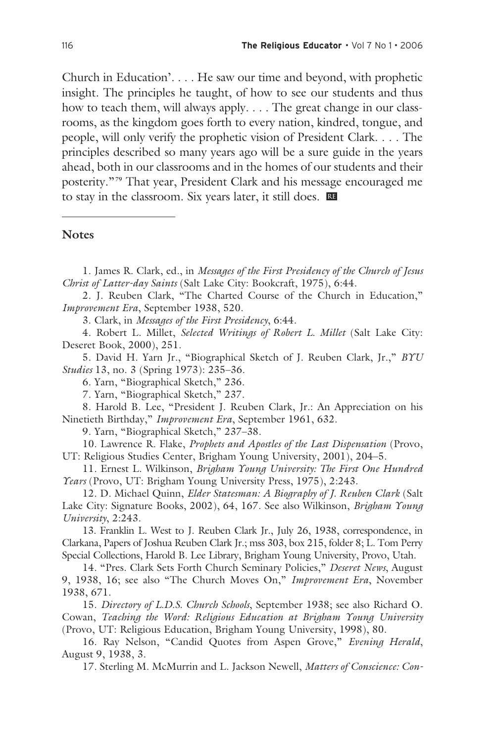Church in Education'. . . . He saw our time and beyond, with prophetic insight. The principles he taught, of how to see our students and thus how to teach them, will always apply. . . . The great change in our classrooms, as the kingdom goes forth to every nation, kindred, tongue, and people, will only verify the prophetic vision of President Clark. . . . The principles described so many years ago will be a sure guide in the years ahead, both in our classrooms and in the homes of our students and their posterity."**79** That year, President Clark and his message encouraged me to stay in the classroom. Six years later, it still does. œ

#### **Notes**

1. James R. Clark, ed., in *Messages of the First Presidency of the Church of Jesus Christ of Latter-day Saints* (Salt Lake City: Bookcraft, 1975), 6:44.

2. J. Reuben Clark, "The Charted Course of the Church in Education," *Improvement Era*, September 1938, 520.

3. Clark, in *Messages of the First Presidency*, 6:44.

4. Robert L. Millet, *Selected Writings of Robert L. Millet* (Salt Lake City: Deseret Book, 2000), 251.

5. David H. Yarn Jr., "Biographical Sketch of J. Reuben Clark, Jr.," *BYU Studies* 13, no. 3 (Spring 1973): 235–36.

6. Yarn, "Biographical Sketch," 236.

7. Yarn, "Biographical Sketch," 237.

8. Harold B. Lee, "President J. Reuben Clark, Jr.: An Appreciation on his Ninetieth Birthday," *Improvement Era*, September 1961, 632.

9. Yarn, "Biographical Sketch," 237–38.

10. Lawrence R. Flake, *Prophets and Apostles of the Last Dispensation* (Provo, UT: Religious Studies Center, Brigham Young University, 2001), 204–5.

11. Ernest L. Wilkinson, *Brigham Young University: The First One Hundred Years* (Provo, UT: Brigham Young University Press, 1975), 2:243.

12. D. Michael Quinn, *Elder Statesman: A Biography of J. Reuben Clark* (Salt Lake City: Signature Books, 2002), 64, 167. See also Wilkinson, *Brigham Young University*, 2:243.

13. Franklin L. West to J. Reuben Clark Jr., July 26, 1938, correspondence, in Clarkana, Papers of Joshua Reuben Clark Jr.; mss 303, box 215, folder 8; L. Tom Perry Special Collections, Harold B. Lee Library, Brigham Young University, Provo, Utah.

14. "Pres. Clark Sets Forth Church Seminary Policies," *Deseret News*, August 9, 1938, 16; see also "The Church Moves On," *Improvement Era*, November 1938, 671.

15. *Directory of L.D.S. Church Schools*, September 1938; see also Richard O. Cowan, *Teaching the Word: Religious Education at Brigham Young University*  (Provo, UT: Religious Education, Brigham Young University, 1998), 80.

16. Ray Nelson, "Candid Quotes from Aspen Grove," *Evening Herald*, August 9, 1938, 3.

17. Sterling M. McMurrin and L. Jackson Newell, *Matters of Conscience: Con-*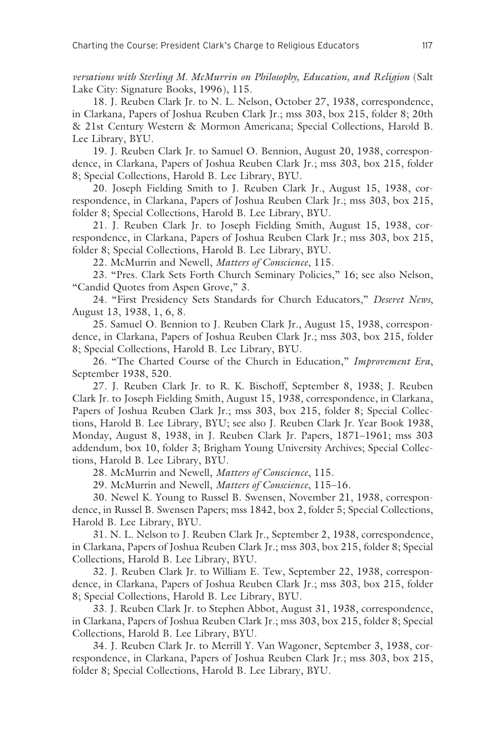*versations with Sterling M. McMurrin on Philosophy, Education, and Religion* (Salt Lake City: Signature Books, 1996), 115.

18. J. Reuben Clark Jr. to N. L. Nelson, October 27, 1938, correspondence, in Clarkana, Papers of Joshua Reuben Clark Jr.; mss 303, box 215, folder 8; 20th & 21st Century Western & Mormon Americana; Special Collections, Harold B. Lee Library, BYU.

19. J. Reuben Clark Jr. to Samuel O. Bennion, August 20, 1938, correspondence, in Clarkana, Papers of Joshua Reuben Clark Jr.; mss 303, box 215, folder 8; Special Collections, Harold B. Lee Library, BYU.

20. Joseph Fielding Smith to J. Reuben Clark Jr., August 15, 1938, correspondence, in Clarkana, Papers of Joshua Reuben Clark Jr.; mss 303, box 215, folder 8; Special Collections, Harold B. Lee Library, BYU.

21. J. Reuben Clark Jr. to Joseph Fielding Smith, August 15, 1938, correspondence, in Clarkana, Papers of Joshua Reuben Clark Jr.; mss 303, box 215, folder 8; Special Collections, Harold B. Lee Library, BYU.

22. McMurrin and Newell, *Matters of Conscience*, 115.

23. "Pres. Clark Sets Forth Church Seminary Policies," 16; see also Nelson, "Candid Quotes from Aspen Grove," 3.

24. "First Presidency Sets Standards for Church Educators," *Deseret News*, August 13, 1938, 1, 6, 8.

25. Samuel O. Bennion to J. Reuben Clark Jr., August 15, 1938, correspondence, in Clarkana, Papers of Joshua Reuben Clark Jr.; mss 303, box 215, folder 8; Special Collections, Harold B. Lee Library, BYU.

26. "The Charted Course of the Church in Education," *Improvement Era*, September 1938, 520.

27. J. Reuben Clark Jr. to R. K. Bischoff, September 8, 1938; J. Reuben Clark Jr. to Joseph Fielding Smith, August 15, 1938, correspondence, in Clarkana, Papers of Joshua Reuben Clark Jr.; mss 303, box 215, folder 8; Special Collections, Harold B. Lee Library, BYU; see also J. Reuben Clark Jr. Year Book 1938, Monday, August 8, 1938, in J. Reuben Clark Jr. Papers, 1871–1961; mss 303 addendum, box 10, folder 3; Brigham Young University Archives; Special Collections, Harold B. Lee Library, BYU.

28. McMurrin and Newell, *Matters of Conscience*, 115.

29. McMurrin and Newell, *Matters of Conscience*, 115–16.

30. Newel K. Young to Russel B. Swensen, November 21, 1938, correspondence, in Russel B. Swensen Papers; mss 1842, box 2, folder 5; Special Collections, Harold B. Lee Library, BYU.

31. N. L. Nelson to J. Reuben Clark Jr., September 2, 1938, correspondence, in Clarkana, Papers of Joshua Reuben Clark Jr.; mss 303, box 215, folder 8; Special Collections, Harold B. Lee Library, BYU.

32. J. Reuben Clark Jr. to William E. Tew, September 22, 1938, correspondence, in Clarkana, Papers of Joshua Reuben Clark Jr.; mss 303, box 215, folder 8; Special Collections, Harold B. Lee Library, BYU.

33. J. Reuben Clark Jr. to Stephen Abbot, August 31, 1938, correspondence, in Clarkana, Papers of Joshua Reuben Clark Jr.; mss 303, box 215, folder 8; Special Collections, Harold B. Lee Library, BYU.

34. J. Reuben Clark Jr. to Merrill Y. Van Wagoner, September 3, 1938, correspondence, in Clarkana, Papers of Joshua Reuben Clark Jr.; mss 303, box 215, folder 8; Special Collections, Harold B. Lee Library, BYU.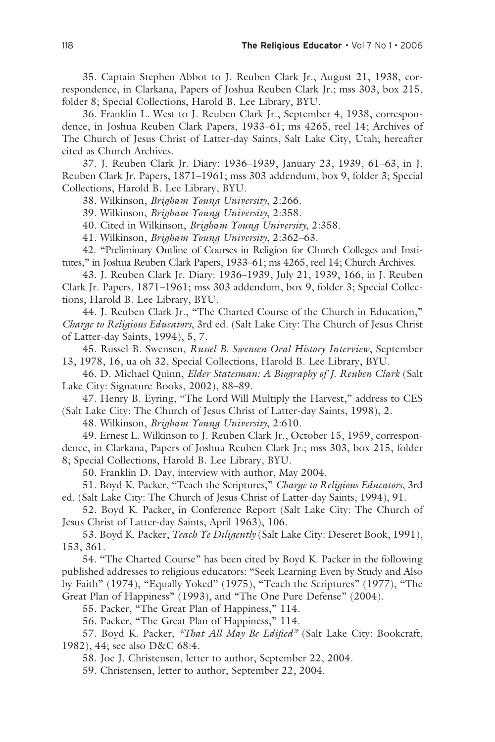35. Captain Stephen Abbot to J. Reuben Clark Jr., August 21, 1938, correspondence, in Clarkana, Papers of Joshua Reuben Clark Jr.; mss 303, box 215, folder 8; Special Collections, Harold B. Lee Library, BYU.

36. Franklin L. West to J. Reuben Clark Jr., September 4, 1938, correspondence, in Joshua Reuben Clark Papers, 1933–61; ms 4265, reel 14; Archives of The Church of Jesus Christ of Latter-day Saints, Salt Lake City, Utah; hereafter cited as Church Archives.

37. J. Reuben Clark Jr. Diary: 1936–1939, January 23, 1939, 61–63, in J. Reuben Clark Jr. Papers, 1871–1961; mss 303 addendum, box 9, folder 3; Special Collections, Harold B. Lee Library, BYU.

38. Wilkinson, *Brigham Young University*, 2:266.

39. Wilkinson, *Brigham Young University*, 2:358.

40. Cited in Wilkinson, *Brigham Young University*, 2:358.

41. Wilkinson, *Brigham Young University*, 2:362–63.

42. "Preliminary Outline of Courses in Religion for Church Colleges and Institutes," in Joshua Reuben Clark Papers, 1933–61; ms 4265, reel 14; Church Archives.

43. J. Reuben Clark Jr. Diary: 1936–1939, July 21, 1939, 166, in J. Reuben Clark Jr. Papers, 1871–1961; mss 303 addendum, box 9, folder 3; Special Collections, Harold B. Lee Library, BYU.

44. J. Reuben Clark Jr., "The Charted Course of the Church in Education," *Charge to Religious Educators*, 3rd ed. (Salt Lake City: The Church of Jesus Christ of Latter-day Saints, 1994), 5, 7.

45. Russel B. Swensen, *Russel B. Swensen Oral History Interview*, September 13, 1978, 16, ua oh 32, Special Collections, Harold B. Lee Library, BYU.

46. D. Michael Quinn, *Elder Statesman: A Biography of J. Reuben Clark* (Salt Lake City: Signature Books, 2002), 88–89.

47. Henry B. Eyring, "The Lord Will Multiply the Harvest," address to CES (Salt Lake City: The Church of Jesus Christ of Latter-day Saints, 1998), 2.

48. Wilkinson, *Brigham Young University*, 2:610.

49. Ernest L. Wilkinson to J. Reuben Clark Jr., October 15, 1959, correspondence, in Clarkana, Papers of Joshua Reuben Clark Jr.; mss 303, box 215, folder 8; Special Collections, Harold B. Lee Library, BYU.

50. Franklin D. Day, interview with author, May 2004.

51. Boyd K. Packer, "Teach the Scriptures," *Charge to Religious Educators*, 3rd ed. (Salt Lake City: The Church of Jesus Christ of Latter-day Saints, 1994), 91.

52. Boyd K. Packer, in Conference Report (Salt Lake City: The Church of Jesus Christ of Latter-day Saints, April 1963), 106.

53. Boyd K. Packer, *Teach Ye Diligently* (Salt Lake City: Deseret Book, 1991), 153, 361.

54. "The Charted Course" has been cited by Boyd K. Packer in the following published addresses to religious educators: "Seek Learning Even by Study and Also by Faith" (1974), "Equally Yoked" (1975), "Teach the Scriptures" (1977), "The Great Plan of Happiness" (1993), and "The One Pure Defense" (2004).

55. Packer, "The Great Plan of Happiness," 114.

56. Packer, "The Great Plan of Happiness," 114.

57. Boyd K. Packer, *"That All May Be Edified"* (Salt Lake City: Bookcraft, 1982), 44; see also D&C 68:4.

58. Joe J. Christensen, letter to author, September 22, 2004.

59. Christensen, letter to author, September 22, 2004.